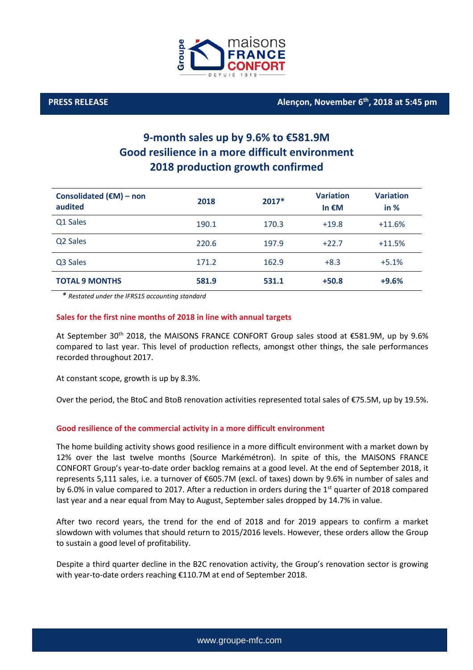

## **PRESS RELEASE Alençon, November 6 th , 2018 at 5:45 pm**

# **9-month sales up by 9.6% to €581.9M Good resilience in a more difficult environment 2018 production growth confirmed**

| Consolidated $(\epsilon M)$ – non<br>audited | 2018  | 2017* | <b>Variation</b><br>In $EM$ | <b>Variation</b><br>in % |
|----------------------------------------------|-------|-------|-----------------------------|--------------------------|
| Q1 Sales                                     | 190.1 | 170.3 | $+19.8$                     | $+11.6%$                 |
| Q2 Sales                                     | 220.6 | 197.9 | $+22.7$                     | $+11.5%$                 |
| Q3 Sales                                     | 171.2 | 162.9 | $+8.3$                      | $+5.1%$                  |
| <b>TOTAL 9 MONTHS</b>                        | 581.9 | 531.1 | $+50.8$                     | $+9.6%$                  |

*\* Restated under the IFRS15 accounting standard*

#### **Sales for the first nine months of 2018 in line with annual targets**

At September 30<sup>th</sup> 2018, the MAISONS FRANCE CONFORT Group sales stood at €581.9M, up by 9.6% compared to last year. This level of production reflects, amongst other things, the sale performances recorded throughout 2017.

At constant scope, growth is up by 8.3%.

Over the period, the BtoC and BtoB renovation activities represented total sales of €75.5M, up by 19.5%.

### **Good resilience of the commercial activity in a more difficult environment**

The home building activity shows good resilience in a more difficult environment with a market down by 12% over the last twelve months (Source Markémétron). In spite of this, the MAISONS FRANCE CONFORT Group's year-to-date order backlog remains at a good level. At the end of September 2018, it represents 5,111 sales, i.e. a turnover of €605.7M (excl. of taxes) down by 9.6% in number of sales and by 6.0% in value compared to 2017. After a reduction in orders during the  $1<sup>st</sup>$  quarter of 2018 compared last year and a near equal from May to August, September sales dropped by 14.7% in value.

After two record years, the trend for the end of 2018 and for 2019 appears to confirm a market slowdown with volumes that should return to 2015/2016 levels. However, these orders allow the Group to sustain a good level of profitability.

Despite a third quarter decline in the B2C renovation activity, the Group's renovation sector is growing with year-to-date orders reaching €110.7M at end of September 2018.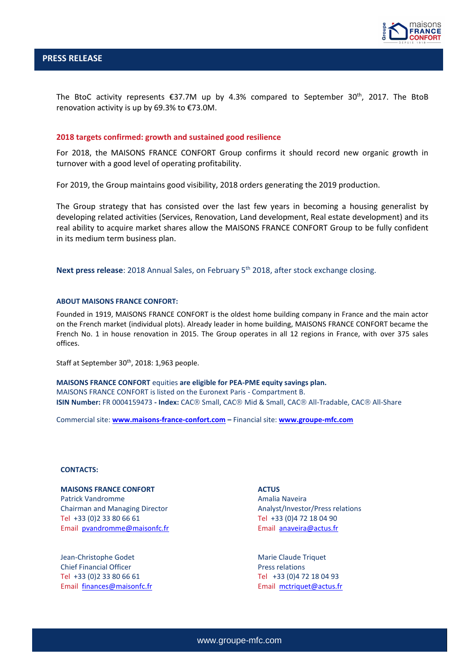

The BtoC activity represents  $\epsilon$ 37.7M up by 4.3% compared to September 30<sup>th</sup>, 2017. The BtoB renovation activity is up by 69.3% to €73.0M.

#### **2018 targets confirmed: growth and sustained good resilience**

For 2018, the MAISONS FRANCE CONFORT Group confirms it should record new organic growth in turnover with a good level of operating profitability.

For 2019, the Group maintains good visibility, 2018 orders generating the 2019 production.

The Group strategy that has consisted over the last few years in becoming a housing generalist by developing related activities (Services, Renovation, Land development, Real estate development) and its real ability to acquire market shares allow the MAISONS FRANCE CONFORT Group to be fully confident in its medium term business plan.

**Next press release**: 2018 Annual Sales, on February 5 th 2018, after stock exchange closing.

#### **ABOUT MAISONS FRANCE CONFORT:**

Founded in 1919, MAISONS FRANCE CONFORT is the oldest home building company in France and the main actor on the French market (individual plots). Already leader in home building, MAISONS FRANCE CONFORT became the French No. 1 in house renovation in 2015. The Group operates in all 12 regions in France, with over 375 sales offices.

Staff at September 30<sup>th</sup>, 2018: 1,963 people.

**MAISONS FRANCE CONFORT** equities **are eligible for PEA-PME equity savings plan.** MAISONS FRANCE CONFORT is listed on the Euronext Paris - Compartment B. **ISIN Number:** FR 0004159473 **- Index:** CAC Small, CAC Mid & Small, CAC All-Tradable, CAC All-Share

Commercial site: **[www.maisons-france-confort.com](http://www.maisons-france-confort.com/) –** Financial site: **[www.groupe-mfc.com](http://www.groupe-mfc.com/)**

#### **CONTACTS:**

**MAISONS FRANCE CONFORT** Patrick Vandromme Chairman and Managing Director Tel +33 (0)2 33 80 66 61 Email [pvandromme@maisonfc.fr](mailto:pvandromme@maisonfc.fr)

Jean-Christophe Godet Chief Financial Officer Tel +33 (0)2 33 80 66 61 Email [finances@maisonfc.fr](mailto:finances@maisonfc.fr)

#### **ACTUS**

Amalia Naveira Analyst/Investor/Press relations Tel +33 (0)4 72 18 04 90 Email [anaveira@actus.fr](mailto:anaveira@actus.fr)

Marie Claude Triquet Press relations Tel +33 (0)4 72 18 04 93 Email [mctriquet@actus.fr](mailto:mctriquet@actus.fr)